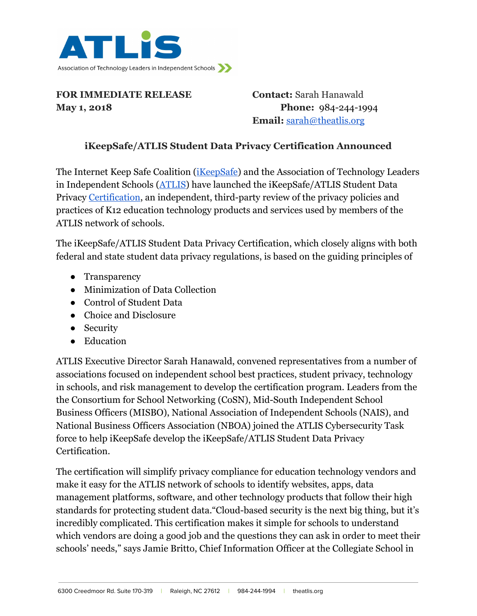

**FOR IMMEDIATE RELEASE Contact:** Sarah Hanawald **May 1, 2018 Phone:**  $984-244-1994$ 

**Email:** [sarah@theatlis.org](mailto:sarah@theatlis.org)

## **iKeepSafe/ATLIS Student Data Privacy Certification Announced**

The Internet Keep Safe Coalition ([iKeepSafe](https://ikeepsafe.org/)) and the Association of Technology Leaders in Independent Schools ([ATLIS](http://www.theatlis.org/)) have launched the iKeepSafe/ATLIS Student Data Privacy [Certification](https://ikeepsafe.org/certification/atlis/), an independent, third-party review of the privacy policies and practices of K12 education technology products and services used by members of the ATLIS network of schools.

The iKeepSafe/ATLIS Student Data Privacy Certification, which closely aligns with both federal and state student data privacy regulations, is based on the guiding principles of

- Transparency
- Minimization of Data Collection
- Control of Student Data
- Choice and Disclosure
- Security
- Education

ATLIS Executive Director Sarah Hanawald, convened representatives from a number of associations focused on independent school best practices, student privacy, technology in schools, and risk management to develop the certification program. Leaders from the the Consortium for School Networking (CoSN), Mid-South Independent School Business Officers (MISBO), National Association of Independent Schools (NAIS), and National Business Officers Association (NBOA) joined the ATLIS Cybersecurity Task force to help iKeepSafe develop the iKeepSafe/ATLIS Student Data Privacy Certification.

The certification will simplify privacy compliance for education technology vendors and make it easy for the ATLIS network of schools to identify websites, apps, data management platforms, software, and other technology products that follow their high standards for protecting student data."Cloud-based security is the next big thing, but it's incredibly complicated. This certification makes it simple for schools to understand which vendors are doing a good job and the questions they can ask in order to meet their schools' needs," says Jamie Britto, Chief Information Officer at the Collegiate School in